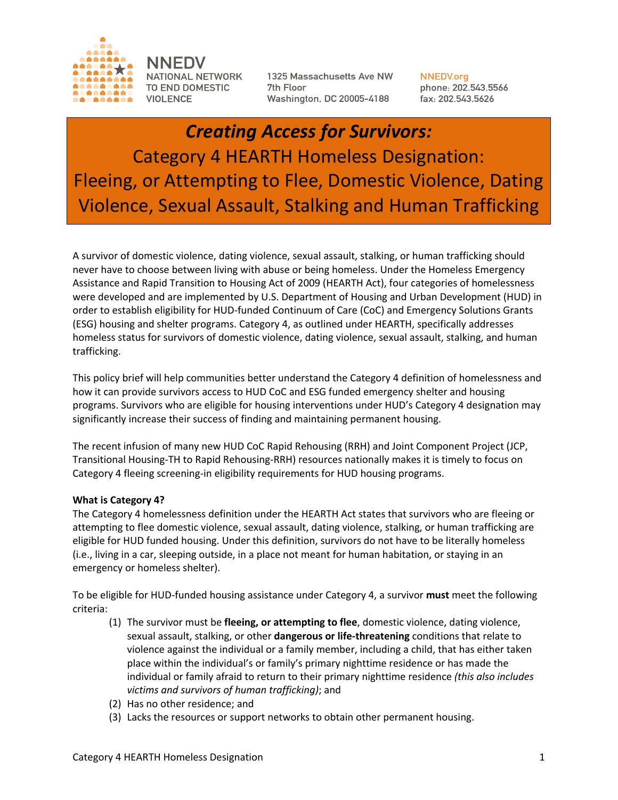

NNEDV **NATIONAL NETWORK** TO END DOMESTIC **VIOLENCE** 

1325 Massachusetts Ave NW 7th Floor Washington, DC 20005-4188

**NNEDV.org** phone: 202.543.5566 fax: 202.543.5626

# *Creating Access for Survivors:* Category 4 HEARTH Homeless Designation: Fleeing, or Attempting to Flee, Domestic Violence, Dating Violence, Sexual Assault, Stalking and Human Trafficking

A survivor of domestic violence, dating violence, sexual assault, stalking, or human trafficking should never have to choose between living with abuse or being homeless. Under the Homeless Emergency Assistance and Rapid Transition to Housing Act of 2009 (HEARTH Act), four categories of homelessness were developed and are implemented by U.S. Department of Housing and Urban Development (HUD) in order to establish eligibility for HUD-funded Continuum of Care (CoC) and Emergency Solutions Grants (ESG) housing and shelter programs. Category 4, as outlined under HEARTH, specifically addresses homeless status for survivors of domestic violence, dating violence, sexual assault, stalking, and human trafficking.

This policy brief will help communities better understand the Category 4 definition of homelessness and how it can provide survivors access to HUD CoC and ESG funded emergency shelter and housing programs. Survivors who are eligible for housing interventions under HUD's Category 4 designation may significantly increase their success of finding and maintaining permanent housing.

The recent infusion of many new HUD CoC Rapid Rehousing (RRH) and Joint Component Project (JCP, Transitional Housing-TH to Rapid Rehousing-RRH) resources nationally makes it is timely to focus on Category 4 fleeing screening-in eligibility requirements for HUD housing programs.

## **What is Category 4?**

The Category 4 homelessness definition under the HEARTH Act states that survivors who are fleeing or attempting to flee domestic violence, sexual assault, dating violence, stalking, or human trafficking are eligible for HUD funded housing. Under this definition, survivors do not have to be literally homeless (i.e., living in a car, sleeping outside, in a place not meant for human habitation, or staying in an emergency or homeless shelter).

To be eligible for HUD-funded housing assistance under Category 4, a survivor **must** meet the following criteria:

- (1) The survivor must be **fleeing, or attempting to flee**, domestic violence, dating violence, sexual assault, stalking, or other **dangerous or life-threatening** conditions that relate to violence against the individual or a family member, including a child, that has either taken place within the individual's or family's primary nighttime residence or has made the individual or family afraid to return to their primary nighttime residence *(this also includes victims and survivors of human trafficking)*; and
- (2) Has no other residence; and
- (3) Lacks the resources or support networks to obtain other permanent housing.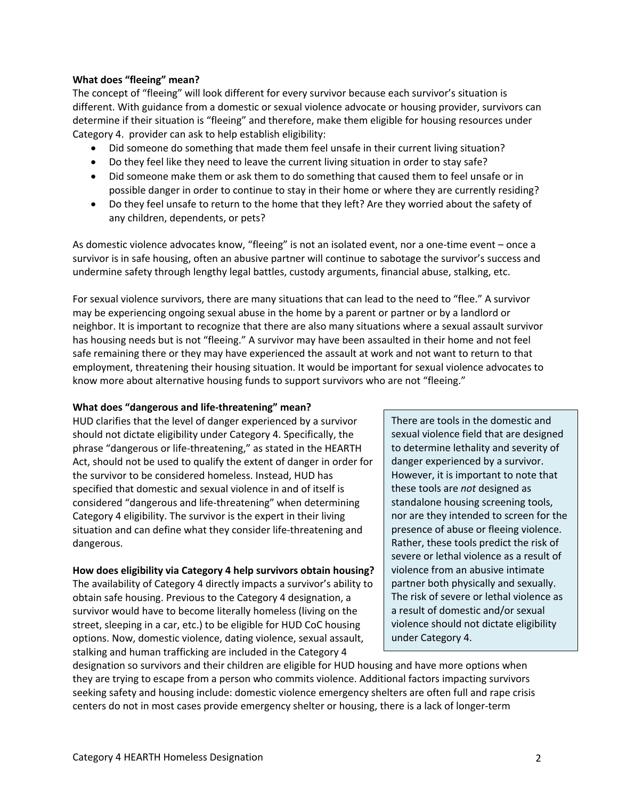#### **What does "fleeing" mean?**

The concept of "fleeing" will look different for every survivor because each survivor's situation is different. With guidance from a domestic or sexual violence advocate or housing provider, survivors can determine if their situation is "fleeing" and therefore, make them eligible for housing resources under Category 4. provider can ask to help establish eligibility:

- Did someone do something that made them feel unsafe in their current living situation?
- Do they feel like they need to leave the current living situation in order to stay safe?
- Did someone make them or ask them to do something that caused them to feel unsafe or in possible danger in order to continue to stay in their home or where they are currently residing?
- Do they feel unsafe to return to the home that they left? Are they worried about the safety of any children, dependents, or pets?

As domestic violence advocates know, "fleeing" is not an isolated event, nor a one-time event – once a survivor is in safe housing, often an abusive partner will continue to sabotage the survivor's success and undermine safety through lengthy legal battles, custody arguments, financial abuse, stalking, etc.

For sexual violence survivors, there are many situations that can lead to the need to "flee." A survivor may be experiencing ongoing sexual abuse in the home by a parent or partner or by a landlord or neighbor. It is important to recognize that there are also many situations where a sexual assault survivor has housing needs but is not "fleeing." A survivor may have been assaulted in their home and not feel safe remaining there or they may have experienced the assault at work and not want to return to that employment, threatening their housing situation. It would be important for sexual violence advocates to know more about alternative housing funds to support survivors who are not "fleeing."

## **What does "dangerous and life-threatening" mean?**

HUD clarifies that the level of danger experienced by a survivor should not dictate eligibility under Category 4. Specifically, the phrase "dangerous or life-threatening," as stated in the HEARTH Act, should not be used to qualify the extent of danger in order for the survivor to be considered homeless. Instead, HUD has specified that domestic and sexual violence in and of itself is considered "dangerous and life-threatening" when determining Category 4 eligibility. The survivor is the expert in their living situation and can define what they consider life-threatening and dangerous.

## **How does eligibility via Category 4 help survivors obtain housing?**

The availability of Category 4 directly impacts a survivor's ability to obtain safe housing. Previous to the Category 4 designation, a survivor would have to become literally homeless (living on the street, sleeping in a car, etc.) to be eligible for HUD CoC housing options. Now, domestic violence, dating violence, sexual assault, stalking and human trafficking are included in the Category 4

There are tools in the domestic and sexual violence field that are designed to determine lethality and severity of danger experienced by a survivor. However, it is important to note that these tools are *not* designed as standalone housing screening tools, nor are they intended to screen for the presence of abuse or fleeing violence. Rather, these tools predict the risk of severe or lethal violence as a result of violence from an abusive intimate partner both physically and sexually. The risk of severe or lethal violence as a result of domestic and/or sexual violence should not dictate eligibility under Category 4.

designation so survivors and their children are eligible for HUD housing and have more options when they are trying to escape from a person who commits violence. Additional factors impacting survivors seeking safety and housing include: domestic violence emergency shelters are often full and rape crisis centers do not in most cases provide emergency shelter or housing, there is a lack of longer-term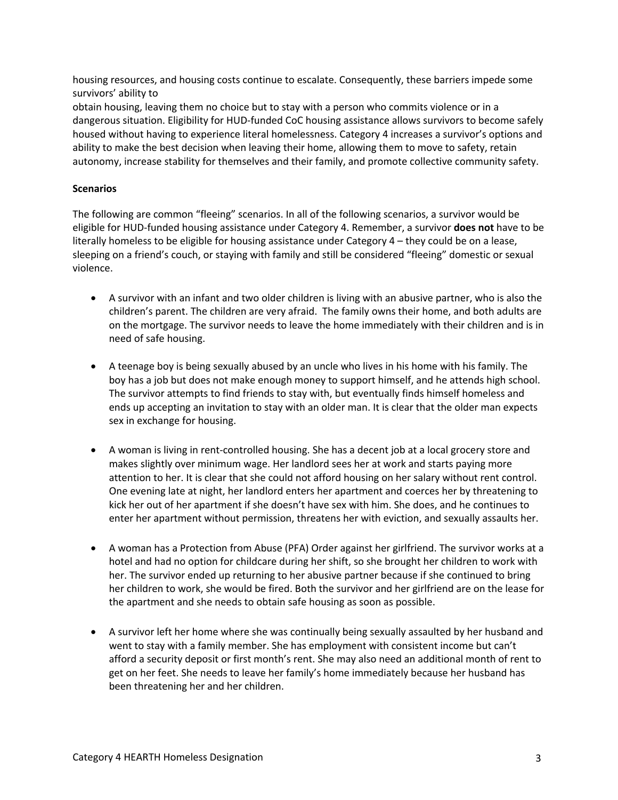housing resources, and housing costs continue to escalate. Consequently, these barriers impede some survivors' ability to

obtain housing, leaving them no choice but to stay with a person who commits violence or in a dangerous situation. Eligibility for HUD-funded CoC housing assistance allows survivors to become safely housed without having to experience literal homelessness. Category 4 increases a survivor's options and ability to make the best decision when leaving their home, allowing them to move to safety, retain autonomy, increase stability for themselves and their family, and promote collective community safety.

## **Scenarios**

The following are common "fleeing" scenarios. In all of the following scenarios, a survivor would be eligible for HUD-funded housing assistance under Category 4. Remember, a survivor **does not** have to be literally homeless to be eligible for housing assistance under Category 4 – they could be on a lease, sleeping on a friend's couch, or staying with family and still be considered "fleeing" domestic or sexual violence.

- A survivor with an infant and two older children is living with an abusive partner, who is also the children's parent. The children are very afraid. The family owns their home, and both adults are on the mortgage. The survivor needs to leave the home immediately with their children and is in need of safe housing.
- A teenage boy is being sexually abused by an uncle who lives in his home with his family. The boy has a job but does not make enough money to support himself, and he attends high school. The survivor attempts to find friends to stay with, but eventually finds himself homeless and ends up accepting an invitation to stay with an older man. It is clear that the older man expects sex in exchange for housing.
- A woman is living in rent-controlled housing. She has a decent job at a local grocery store and makes slightly over minimum wage. Her landlord sees her at work and starts paying more attention to her. It is clear that she could not afford housing on her salary without rent control. One evening late at night, her landlord enters her apartment and coerces her by threatening to kick her out of her apartment if she doesn't have sex with him. She does, and he continues to enter her apartment without permission, threatens her with eviction, and sexually assaults her.
- A woman has a Protection from Abuse (PFA) Order against her girlfriend. The survivor works at a hotel and had no option for childcare during her shift, so she brought her children to work with her. The survivor ended up returning to her abusive partner because if she continued to bring her children to work, she would be fired. Both the survivor and her girlfriend are on the lease for the apartment and she needs to obtain safe housing as soon as possible.
- A survivor left her home where she was continually being sexually assaulted by her husband and went to stay with a family member. She has employment with consistent income but can't afford a security deposit or first month's rent. She may also need an additional month of rent to get on her feet. She needs to leave her family's home immediately because her husband has been threatening her and her children.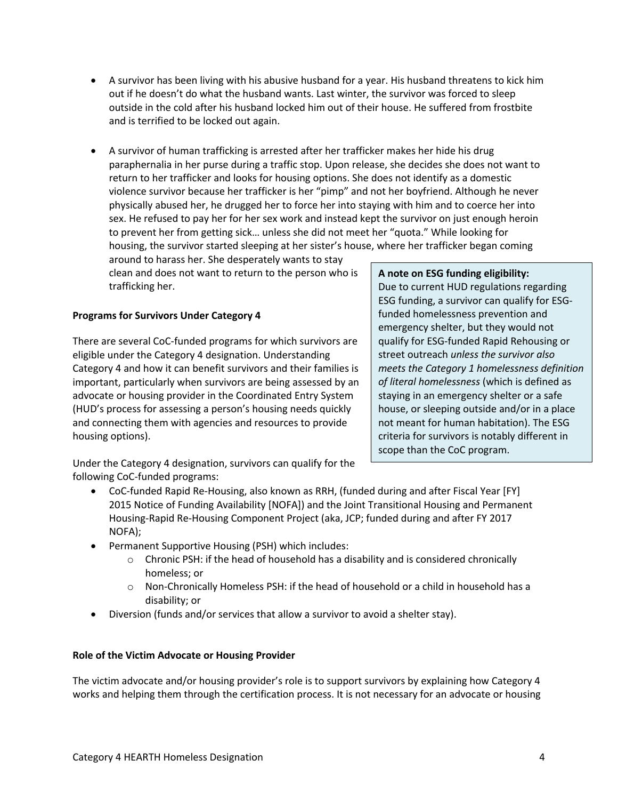- A survivor has been living with his abusive husband for a year. His husband threatens to kick him out if he doesn't do what the husband wants. Last winter, the survivor was forced to sleep outside in the cold after his husband locked him out of their house. He suffered from frostbite and is terrified to be locked out again.
- A survivor of human trafficking is arrested after her trafficker makes her hide his drug paraphernalia in her purse during a traffic stop. Upon release, she decides she does not want to return to her trafficker and looks for housing options. She does not identify as a domestic violence survivor because her trafficker is her "pimp" and not her boyfriend. Although he never physically abused her, he drugged her to force her into staying with him and to coerce her into sex. He refused to pay her for her sex work and instead kept the survivor on just enough heroin to prevent her from getting sick… unless she did not meet her "quota." While looking for housing, the survivor started sleeping at her sister's house, where her trafficker began coming

around to harass her. She desperately wants to stay clean and does not want to return to the person who is trafficking her.

## **Programs for Survivors Under Category 4**

There are several CoC-funded programs for which survivors are eligible under the Category 4 designation. Understanding Category 4 and how it can benefit survivors and their families is important, particularly when survivors are being assessed by an advocate or housing provider in the Coordinated Entry System (HUD's process for assessing a person's housing needs quickly and connecting them with agencies and resources to provide housing options).

## **A note on ESG funding eligibility:**

Due to current HUD regulations regarding ESG funding, a survivor can qualify for ESGfunded homelessness prevention and emergency shelter, but they would not qualify for ESG-funded Rapid Rehousing or street outreach *unless the survivor also meets the Category 1 homelessness definition of literal homelessness* (which is defined as staying in an emergency shelter or a safe house, or sleeping outside and/or in a place not meant for human habitation). The ESG criteria for survivors is notably different in scope than the CoC program.

Under the Category 4 designation, survivors can qualify for the following CoC-funded programs:

- CoC-funded Rapid Re-Housing, also known as RRH, (funded during and after Fiscal Year [FY] 2015 Notice of Funding Availability [NOFA]) and the Joint Transitional Housing and Permanent Housing-Rapid Re-Housing Component Project (aka, JCP; funded during and after FY 2017 NOFA);
- Permanent Supportive Housing (PSH) which includes:
	- $\circ$  Chronic PSH: if the head of household has a disability and is considered chronically homeless; or
	- $\circ$  Non-Chronically Homeless PSH: if the head of household or a child in household has a disability; or
- Diversion (funds and/or services that allow a survivor to avoid a shelter stay).

## **Role of the Victim Advocate or Housing Provider**

The victim advocate and/or housing provider's role is to support survivors by explaining how Category 4 works and helping them through the certification process. It is not necessary for an advocate or housing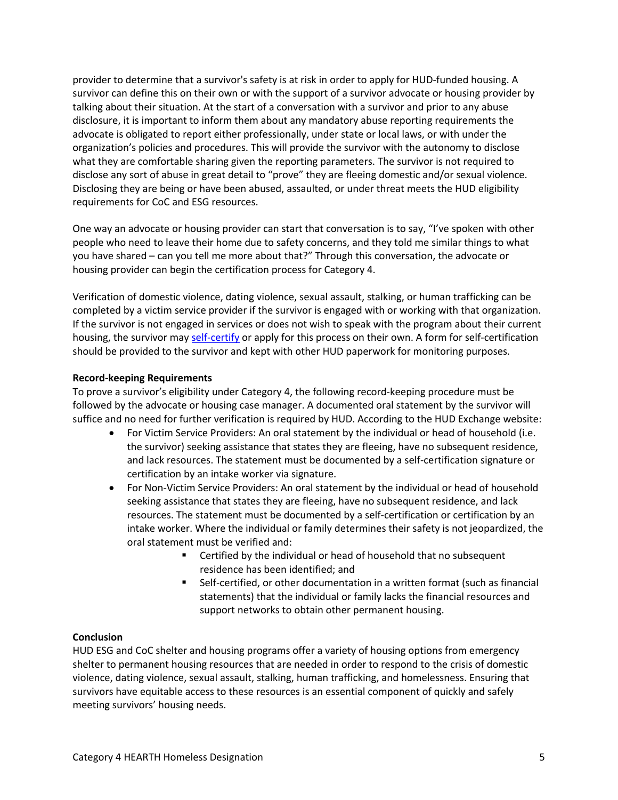provider to determine that a survivor's safety is at risk in order to apply for HUD-funded housing. A survivor can define this on their own or with the support of a survivor advocate or housing provider by talking about their situation. At the start of a conversation with a survivor and prior to any abuse disclosure, it is important to inform them about any mandatory abuse reporting requirements the advocate is obligated to report either professionally, under state or local laws, or with under the organization's policies and procedures. This will provide the survivor with the autonomy to disclose what they are comfortable sharing given the reporting parameters. The survivor is not required to disclose any sort of abuse in great detail to "prove" they are fleeing domestic and/or sexual violence. Disclosing they are being or have been abused, assaulted, or under threat meets the HUD eligibility requirements for CoC and ESG resources.

One way an advocate or housing provider can start that conversation is to say, "I've spoken with other people who need to leave their home due to safety concerns, and they told me similar things to what you have shared – can you tell me more about that?" Through this conversation, the advocate or housing provider can begin the certification process for Category 4.

Verification of domestic violence, dating violence, sexual assault, stalking, or human trafficking can be completed by a victim service provider if the survivor is engaged with or working with that organization. If the survivor is not engaged in services or does not wish to speak with the program about their current housing, the survivor may self-certify or apply for this process on their own. A form for self-certification should be provided to the survivor and kept with other HUD paperwork for monitoring purposes.

## **Record-keeping Requirements**

To prove a survivor's eligibility under Category 4, the following record-keeping procedure must be followed by the advocate or housing case manager. A documented oral statement by the survivor will suffice and no need for further verification is required by HUD. According to the HUD Exchange website:

- For Victim Service Providers: An oral statement by the individual or head of household (i.e. the survivor) seeking assistance that states they are fleeing, have no subsequent residence, and lack resources. The statement must be documented by a self-certification signature or certification by an intake worker via signature.
- For Non-Victim Service Providers: An oral statement by the individual or head of household seeking assistance that states they are fleeing, have no subsequent residence, and lack resources. The statement must be documented by a self-certification or certification by an intake worker. Where the individual or family determines their safety is not jeopardized, the oral statement must be verified and:
	- Certified by the individual or head of household that no subsequent residence has been identified; and
	- Self-certified, or other documentation in a written format (such as financial statements) that the individual or family lacks the financial resources and support networks to obtain other permanent housing.

## **Conclusion**

HUD ESG and CoC shelter and housing programs offer a variety of housing options from emergency shelter to permanent housing resources that are needed in order to respond to the crisis of domestic violence, dating violence, sexual assault, stalking, human trafficking, and homelessness. Ensuring that survivors have equitable access to these resources is an essential component of quickly and safely meeting survivors' housing needs.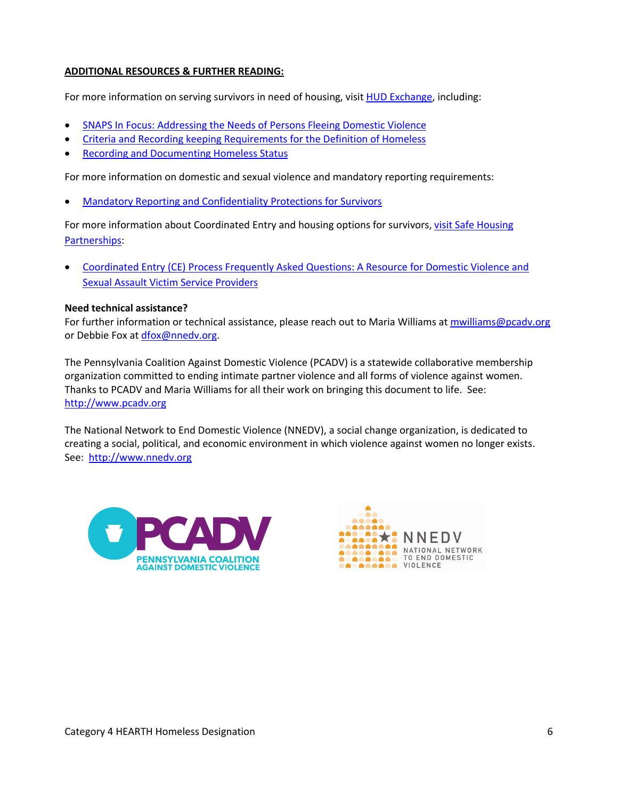## **ADDITIONAL RESOURCES & FURTHER READING:**

For more information on serving survivors in need of housing, visit HUD Exchange, including:

- SNAPS In Focus: Addressing the Needs of Persons Fleeing Domestic Violence
- Criteria and Recording keeping Requirements for the Definition of Homeless
- Recording and Documenting Homeless Status

For more information on domestic and sexual violence and mandatory reporting requirements:

• Mandatory Reporting and Confidentiality Protections for Survivors

For more information about Coordinated Entry and housing options for survivors, visit Safe Housing Partnerships:

• Coordinated Entry (CE) Process Frequently Asked Questions: A Resource for Domestic Violence and Sexual Assault Victim Service Providers

## **Need technical assistance?**

For further information or technical assistance, please reach out to Maria Williams at mwilliams@pcadv.org or Debbie Fox at dfox@nnedv.org.

The Pennsylvania Coalition Against Domestic Violence (PCADV) is a statewide collaborative membership organization committed to ending intimate partner violence and all forms of violence against women. Thanks to PCADV and Maria Williams for all their work on bringing this document to life. See: http://www.pcadv.org

The National Network to End Domestic Violence (NNEDV), a social change organization, is dedicated to creating a social, political, and economic environment in which violence against women no longer exists. See: http://www.nnedv.org